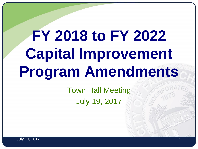# **FY 2018 to FY 2022 Capital Improvement Program Amendments**

Town Hall Meeting July 19, 2017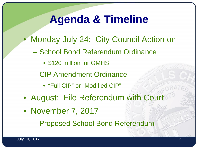### **Agenda & Timeline**

- Monday July 24: City Council Action on
	- School Bond Referendum Ordinance
		- \$120 million for GMHS
	- CIP Amendment Ordinance
		- "Full CIP" or "Modified CIP"
- August: File Referendum with Court
- November 7, 2017

– Proposed School Bond Referendum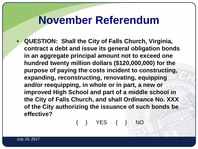### **November Referendum**

• **QUESTION: Shall the City of Falls Church, Virginia, contract a debt and issue its general obligation bonds in an aggregate principal amount not to exceed one hundred twenty million dollars (\$120,000,000) for the purpose of paying the costs incident to constructing, expanding, reconstructing, renovating, equipping and/or reequipping, in whole or in part, a new or improved High School and part of a middle school in the City of Falls Church, and shall Ordinance No. XXX of the City authorizing the issuance of such bonds be effective?**

{ } YES { } NO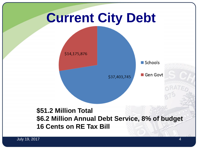## **Current City Debt**

\$14,175,876

Schools

\$37,403,745

Gen Govt

### **\$51.2 Million Total \$6.2 Million Annual Debt Service, 8% of budget 16 Cents on RE Tax Bill**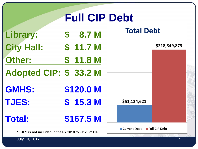| <b>Full CIP Debt</b>                                 |  |                     |  |                   |                      |  |
|------------------------------------------------------|--|---------------------|--|-------------------|----------------------|--|
| Library:                                             |  | \$8.7 <sub>M</sub>  |  | <b>Total Debt</b> |                      |  |
| <b>City Hall:</b>                                    |  | \$11.7 <sub>M</sub> |  |                   | \$218,349,873        |  |
| Other:                                               |  | \$11.8 M            |  |                   |                      |  |
| Adopted CIP: \$33.2 M                                |  |                     |  |                   |                      |  |
| <b>GMHS:</b>                                         |  | \$120.0 M           |  |                   |                      |  |
| <b>TJES:</b>                                         |  | \$15.3 <sub>M</sub> |  | \$51,124,621      |                      |  |
| <b>Total:</b>                                        |  | \$167.5 M           |  |                   |                      |  |
| * TJES is not included in the FY 2018 to FY 2022 CIP |  |                     |  | ■ Current Debt    | <b>Full CIP Debt</b> |  |

July 19, 2017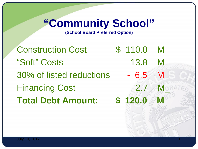## **"Community School"**

**(School Board Preferred Option)**

Construction Cost 5 110.0 M "Soft" Costs 13.8 M 30% of listed reductions - 6.5 M Financing Cost 2.7 M **Total Debt Amount: \$ 120.0**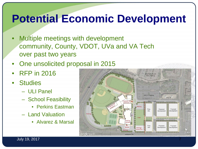### **Potential Economic Development**

- Multiple meetings with development community, County, VDOT, UVa and VA Tech over past two years
- One unsolicited proposal in 2015
- RFP in 2016
- Studies
	- ULI Panel
	- School Feasibility
		- Perkins Eastman
	- Land Valuation
		- Alvarez & Marsal

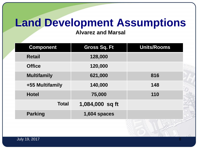### **Land Development Assumptions**

**Alvarez and Marsal**

| <b>Component</b>   | <b>Gross Sq. Ft</b> | <b>Units/Rooms</b> |  |
|--------------------|---------------------|--------------------|--|
| <b>Retail</b>      | 128,000             |                    |  |
| <b>Office</b>      | 120,000             |                    |  |
| <b>Multifamily</b> | 621,000             | 816                |  |
| +55 Multifamily    | 140,000             | 148                |  |
| <b>Hotel</b>       | 75,000              | 110                |  |
| <b>Total</b>       | 1,084,000 sq ft     |                    |  |
| <b>Parking</b>     | 1,604 spaces        |                    |  |
|                    |                     |                    |  |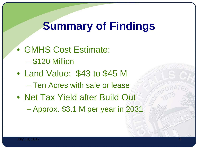### **Summary of Findings**

• GMHS Cost Estimate: – \$120 Million • Land Value: \$43 to \$45 M – Ten Acres with sale or lease • Net Tax Yield after Build Out – Approx. \$3.1 M per year in 2031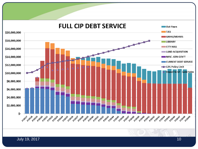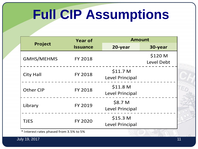## **Full CIP Assumptions**

|                   | <b>Year of</b>  | <b>Amount</b>                                 |                       |  |
|-------------------|-----------------|-----------------------------------------------|-----------------------|--|
| <b>Project</b>    | <b>Issuance</b> | 20-year                                       | 30-year               |  |
| <b>GMHS/MEHMS</b> | <b>FY 2018</b>  |                                               | \$120 M<br>Level Debt |  |
| <b>City Hall</b>  | <b>FY 2018</b>  | \$11.7 <sub>M</sub><br><b>Level Principal</b> |                       |  |
| <b>Other CIP</b>  | <b>FY 2018</b>  | \$11.8 <sub>M</sub><br><b>Level Principal</b> |                       |  |
| Library           | <b>FY 2019</b>  | \$8.7 M<br><b>Level Principal</b>             |                       |  |
| <b>TJES</b>       | <b>FY 2020</b>  | \$15.3 <sub>M</sub><br><b>Level Principal</b> |                       |  |

\* Interest rates phased from 3.5% to 5%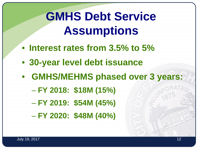## **GMHS Debt Service Assumptions**

- **Interest rates from 3.5% to 5%**
- **30-year level debt issuance**
- **GMHS/MEHMS phased over 3 years:**
	- **FY 2018: \$18M (15%)**
	- **FY 2019: \$54M (45%)**
	- **FY 2020: \$48M (40%)**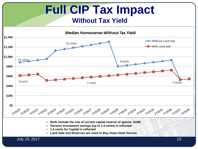#### **Full CIP Tax Impact Without Tax Yield Median Homeowner Without Tax Yield**  $$1,400$  $-$  Without Land Sale 15 cents  $$1,200$ With Land Sale \$1,000 13 cents 9 cents \$800 \$600 9 cents 5 cents 7 cents \$400 \$200 \$0

• **Both include the use of current capital reserve of approx. \$10M**

FY2019 FY2020 FY2021 FY2021 FY2023 FY2024 FY2025 FY2026 FY2027 FY2028 FY2030 FY2031 FY2031 FY2033 FY2034 FY2035 FY2037 FY2039

- **Pension Investment savings (up to 1.5 cents) is reflected**
- **1.5 cents for Capital is reflected**
- **Land Sale and Reserves are used to Buy Down Debt Service**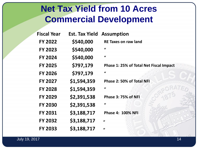### **Net Tax Yield from 10 Acres Commercial Development**

| <b>Fiscal Year</b> | <b>Est. Tax Yield</b> | <b>Assumption</b>                       |
|--------------------|-----------------------|-----------------------------------------|
| <b>FY 2022</b>     | \$540,000             | <b>RE Taxes on raw land</b>             |
| <b>FY 2023</b>     | \$540,000             | $\bf{1}$                                |
| <b>FY 2024</b>     | \$540,000             | $\iota$                                 |
| <b>FY 2025</b>     | \$797,179             | Phase 1: 25% of Total Net Fiscal Impact |
| <b>FY 2026</b>     | \$797,179             | $\iota$                                 |
| <b>FY 2027</b>     | \$1,594,359           | Phase 2: 50% of Total NFI               |
| <b>FY 2028</b>     | \$1,594,359           | $\iota$                                 |
| <b>FY 2029</b>     | \$2,391,538           | Phase 3: 75% of NFI                     |
| <b>FY 2030</b>     | \$2,391,538           | $\iota$                                 |
| <b>FY 2031</b>     | \$3,188,717           | <b>Phase 4: 100% NFI</b>                |
| <b>FY 2032</b>     | \$3,188,717           | $\mathbf{u}$                            |
| <b>FY 2033</b>     | \$3,188,717           | $\mathbf{u}$                            |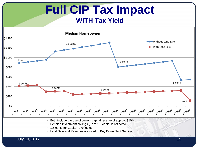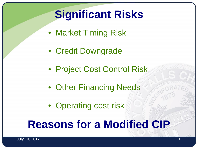## **Significant Risks**

- Market Timing Risk
- Credit Downgrade
- Project Cost Control Risk
- Other Financing Needs
- Operating cost risk

### **Reasons for a Modified CIP**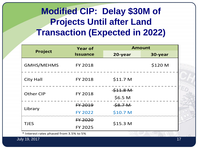### **Modified CIP: Delay \$30M of Projects Until after Land Transaction (Expected in 2022)**

|                   | <b>Year of</b>  | <b>Amount</b>      |         |
|-------------------|-----------------|--------------------|---------|
| <b>Project</b>    | <b>Issuance</b> | 20-year            | 30-year |
| <b>GMHS/MEHMS</b> | <b>FY 2018</b>  |                    | \$120 M |
| <b>City Hall</b>  | <b>FY 2018</b>  | \$11.7 M           |         |
| <b>Other CIP</b>  | <b>FY 2018</b>  | \$41.8M            |         |
|                   |                 | \$6.5 <sub>M</sub> |         |
| Library           | FY 2019         | \$8.7M             |         |
|                   | <b>FY 2022</b>  | \$10.7 M           |         |
| <b>TJES</b>       | FY 2020         |                    |         |
|                   | <b>FY 2025</b>  | \$15.3 M           |         |

\* Interest rates phased from 3.5% to 5%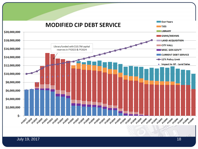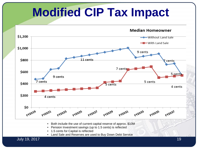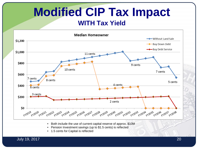### **Modified CIP Tax Impact WITH Tax Yield**



- Both include the use of current capital reserve of approx. \$10M
- Pension Investment savings (up to \$1.5 cents) is reflected
- 1.5 cents for Capital is reflected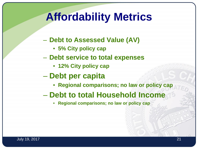### **Affordability Metrics**

- **Debt to Assessed Value (AV)**
	- **5% City policy cap**
- **Debt service to total expenses**
	- **12% City policy cap**
- **Debt per capita**
	- **Regional comparisons; no law or policy cap**
- **Debt to total Household Income**
	- **Regional comparisons; no law or policy cap**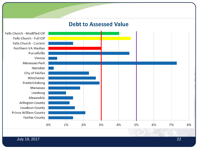#### **Debt to Assessed Value**

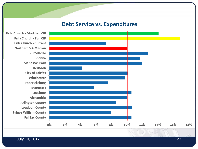#### **Debt Service vs. Expenditures**

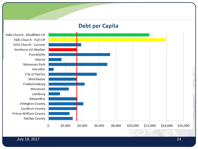#### **Debt per Capita**

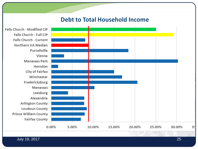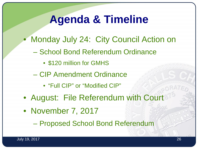### **Agenda & Timeline**

- Monday July 24: City Council Action on
	- School Bond Referendum Ordinance
		- \$120 million for GMHS
	- CIP Amendment Ordinance
		- "Full CIP" or "Modified CIP"
- August: File Referendum with Court
- November 7, 2017
	- Proposed School Bond Referendum